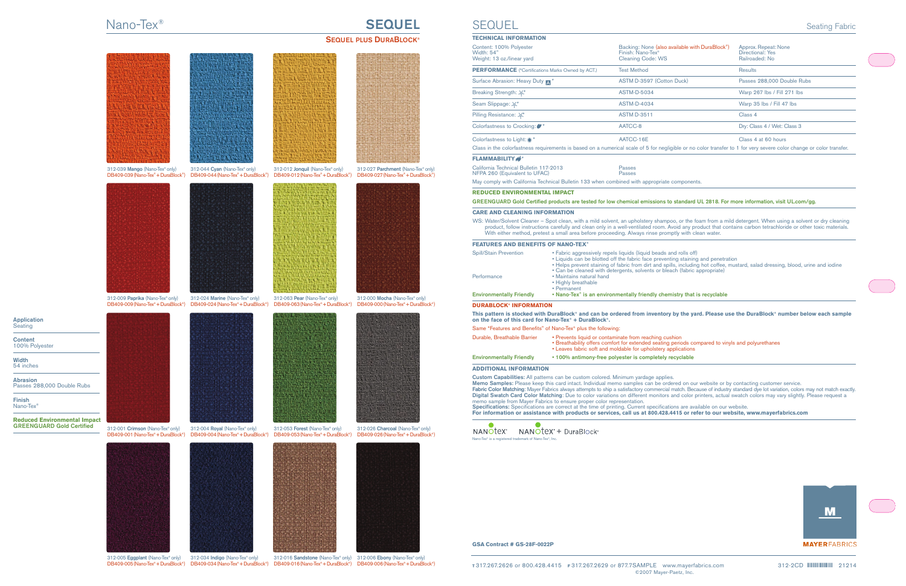## Nano-Tex® **SEQUEL**

## **SEQUEL PLUS DURABLOCK®**



**Application Seating** 

**Content** 100% Polyester

**Width** 54 inches

**Abrasion** Passes 288,000 Double Rubs

**Finish** Nano-Tex®

**Reduced Environmental Impact GREENGUARD Gold Certified**

312-005 **Eggplant** (Nano-Tex®only) 312-034 I**ndigo** (Nano-Tex®only) 312-016 **Sandstone** (Nano-Tex®only) 312-006 **Ebony** (Nano-Tex®only)<br>DB409-005 (Nano-Tex®+ DuraBlock®) DB409-034 (Nano-Tex®+ DuraBlock®) DB409-016 (